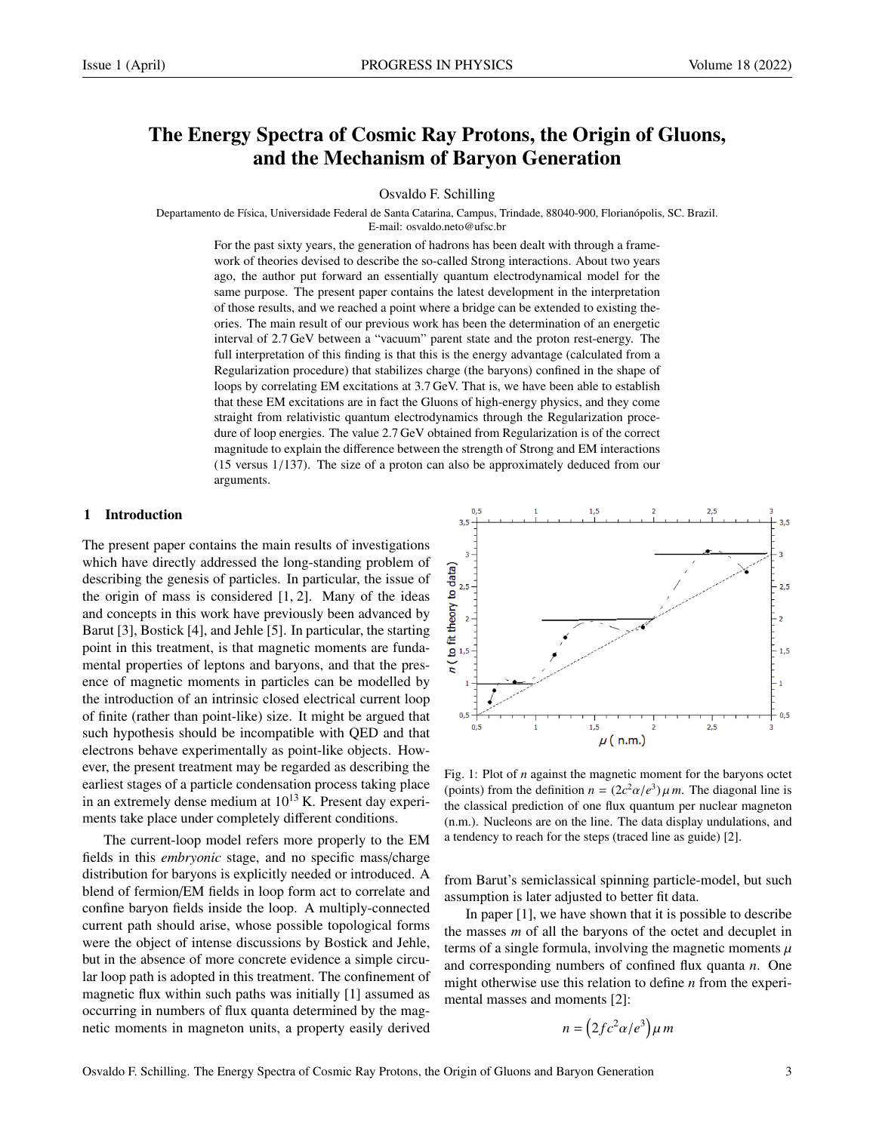# The Energy Spectra of Cosmic Ray Protons, the Origin of Gluons, and the Mechanism of Baryon Generation

Osvaldo F. Schilling

Departamento de Física, Universidade Federal de Santa Catarina, Campus, Trindade, 88040-900, Florianópolis, SC. Brazil.

E-mail: osvaldo.neto@ufsc.br

For the past sixty years, the generation of hadrons has been dealt with through a framework of theories devised to describe the so-called Strong interactions. About two years ago, the author put forward an essentially quantum electrodynamical model for the same purpose. The present paper contains the latest development in the interpretation of those results, and we reached a point where a bridge can be extended to existing theories. The main result of our previous work has been the determination of an energetic interval of 2.7 GeV between a "vacuum" parent state and the proton rest-energy. The full interpretation of this finding is that this is the energy advantage (calculated from a Regularization procedure) that stabilizes charge (the baryons) confined in the shape of loops by correlating EM excitations at 3.7 GeV. That is, we have been able to establish that these EM excitations are in fact the Gluons of high-energy physics, and they come straight from relativistic quantum electrodynamics through the Regularization procedure of loop energies. The value 2.7 GeV obtained from Regularization is of the correct magnitude to explain the difference between the strength of Strong and EM interactions (15 versus 1/137). The size of a proton can also be approximately deduced from our arguments.

# 1 Introduction

The present paper contains the main results of investigations which have directly addressed the long-standing problem of describing the genesis of particles. In particular, the issue of the origin of mass is considered [1, 2]. Many of the ideas and concepts in this work have previously been advanced by Barut [3], Bostick [4], and Jehle [5]. In particular, the starting point in this treatment, is that magnetic moments are fundamental properties of leptons and baryons, and that the presence of magnetic moments in particles can be modelled by the introduction of an intrinsic closed electrical current loop of finite (rather than point-like) size. It might be argued that such hypothesis should be incompatible with QED and that electrons behave experimentally as point-like objects. However, the present treatment may be regarded as describing the earliest stages of a particle condensation process taking place in an extremely dense medium at  $10^{13}$  K. Present day experiments take place under completely different conditions.

The current-loop model refers more properly to the EM fields in this *embryonic* stage, and no specific mass/charge distribution for baryons is explicitly needed or introduced. A blend of fermion/EM fields in loop form act to correlate and confine baryon fields inside the loop. A multiply-connected current path should arise, whose possible topological forms were the object of intense discussions by Bostick and Jehle, but in the absence of more concrete evidence a simple circular loop path is adopted in this treatment. The confinement of magnetic flux within such paths was initially [1] assumed as occurring in numbers of flux quanta determined by the magnetic moments in magneton units, a property easily derived



Fig. 1: Plot of *n* against the magnetic moment for the baryons octet (points) from the definition  $n = (2c^2\alpha/e^3)\mu m$ . The diagonal line is<br>the classical prediction of one flux quantum per nuclear magneton the classical prediction of one flux quantum per nuclear magneton (n.m.). Nucleons are on the line. The data display undulations, and a tendency to reach for the steps (traced line as guide) [2].

from Barut's semiclassical spinning particle-model, but such assumption is later adjusted to better fit data.

In paper [1], we have shown that it is possible to describe the masses *m* of all the baryons of the octet and decuplet in terms of a single formula, involving the magnetic moments  $\mu$ and corresponding numbers of confined flux quanta *n*. One might otherwise use this relation to define *n* from the experimental masses and moments [2]:

$$
n = \left(2fc^2\alpha/e^3\right)\mu m
$$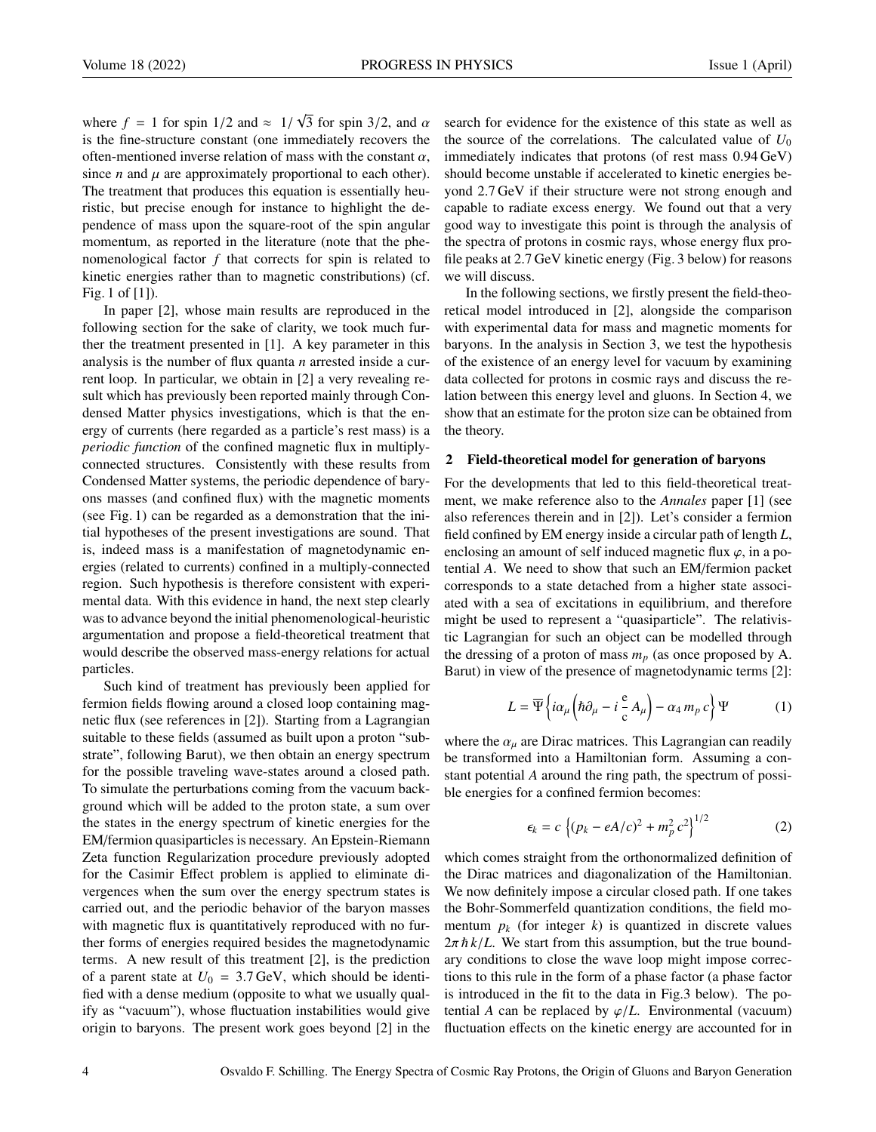where  $f = 1$  for spin  $1/2$  and  $\approx 1/2$ <br>is the fine-structure constant (one in 3 for spin 3/2, and  $\alpha$ <br>rediately recovers the is the fine-structure constant (one immediately recovers the often-mentioned inverse relation of mass with the constant  $\alpha$ , since *n* and  $\mu$  are approximately proportional to each other). The treatment that produces this equation is essentially heuristic, but precise enough for instance to highlight the dependence of mass upon the square-root of the spin angular momentum, as reported in the literature (note that the phenomenological factor *f* that corrects for spin is related to kinetic energies rather than to magnetic constributions) (cf. Fig. 1 of [1]).

√

In paper [2], whose main results are reproduced in the following section for the sake of clarity, we took much further the treatment presented in [1]. A key parameter in this analysis is the number of flux quanta *n* arrested inside a current loop. In particular, we obtain in [2] a very revealing result which has previously been reported mainly through Condensed Matter physics investigations, which is that the energy of currents (here regarded as a particle's rest mass) is a *periodic function* of the confined magnetic flux in multiplyconnected structures. Consistently with these results from Condensed Matter systems, the periodic dependence of baryons masses (and confined flux) with the magnetic moments (see Fig. 1) can be regarded as a demonstration that the initial hypotheses of the present investigations are sound. That is, indeed mass is a manifestation of magnetodynamic energies (related to currents) confined in a multiply-connected region. Such hypothesis is therefore consistent with experimental data. With this evidence in hand, the next step clearly was to advance beyond the initial phenomenological-heuristic argumentation and propose a field-theoretical treatment that would describe the observed mass-energy relations for actual particles.

Such kind of treatment has previously been applied for fermion fields flowing around a closed loop containing magnetic flux (see references in [2]). Starting from a Lagrangian suitable to these fields (assumed as built upon a proton "substrate", following Barut), we then obtain an energy spectrum for the possible traveling wave-states around a closed path. To simulate the perturbations coming from the vacuum background which will be added to the proton state, a sum over the states in the energy spectrum of kinetic energies for the EM/fermion quasiparticles is necessary. An Epstein-Riemann Zeta function Regularization procedure previously adopted for the Casimir Effect problem is applied to eliminate divergences when the sum over the energy spectrum states is carried out, and the periodic behavior of the baryon masses with magnetic flux is quantitatively reproduced with no further forms of energies required besides the magnetodynamic terms. A new result of this treatment [2], is the prediction of a parent state at  $U_0 = 3.7$  GeV, which should be identified with a dense medium (opposite to what we usually qualify as "vacuum"), whose fluctuation instabilities would give origin to baryons. The present work goes beyond [2] in the

search for evidence for the existence of this state as well as the source of the correlations. The calculated value of  $U_0$ immediately indicates that protons (of rest mass 0.94 GeV) should become unstable if accelerated to kinetic energies beyond 2.7 GeV if their structure were not strong enough and capable to radiate excess energy. We found out that a very good way to investigate this point is through the analysis of the spectra of protons in cosmic rays, whose energy flux profile peaks at 2.7 GeV kinetic energy (Fig. 3 below) for reasons we will discuss.

In the following sections, we firstly present the field-theoretical model introduced in [2], alongside the comparison with experimental data for mass and magnetic moments for baryons. In the analysis in Section 3, we test the hypothesis of the existence of an energy level for vacuum by examining data collected for protons in cosmic rays and discuss the relation between this energy level and gluons. In Section 4, we show that an estimate for the proton size can be obtained from the theory.

#### 2 Field-theoretical model for generation of baryons

For the developments that led to this field-theoretical treatment, we make reference also to the *Annales* paper [1] (see also references therein and in [2]). Let's consider a fermion field confined by EM energy inside a circular path of length *L*, enclosing an amount of self induced magnetic flux  $\varphi$ , in a potential *A*. We need to show that such an EM/fermion packet corresponds to a state detached from a higher state associated with a sea of excitations in equilibrium, and therefore might be used to represent a "quasiparticle". The relativistic Lagrangian for such an object can be modelled through the dressing of a proton of mass  $m_p$  (as once proposed by A. Barut) in view of the presence of magnetodynamic terms [2]:

$$
L = \overline{\Psi} \left\{ i\alpha_{\mu} \left( \hbar \partial_{\mu} - i \frac{e}{c} A_{\mu} \right) - \alpha_{4} m_{p} c \right\} \Psi \tag{1}
$$

where the  $\alpha_{\mu}$  are Dirac matrices. This Lagrangian can readily be transformed into a Hamiltonian form. Assuming a constant potential *A* around the ring path, the spectrum of possible energies for a confined fermion becomes:

$$
\epsilon_k = c \left\{ (p_k - eA/c)^2 + m_p^2 c^2 \right\}^{1/2}
$$
 (2)

which comes straight from the orthonormalized definition of the Dirac matrices and diagonalization of the Hamiltonian. We now definitely impose a circular closed path. If one takes the Bohr-Sommerfeld quantization conditions, the field momentum  $p_k$  (for integer  $k$ ) is quantized in discrete values  $2\pi \hbar k/L$ . We start from this assumption, but the true boundary conditions to close the wave loop might impose corrections to this rule in the form of a phase factor (a phase factor is introduced in the fit to the data in Fig.3 below). The potential *A* can be replaced by  $\varphi/L$ . Environmental (vacuum) fluctuation effects on the kinetic energy are accounted for in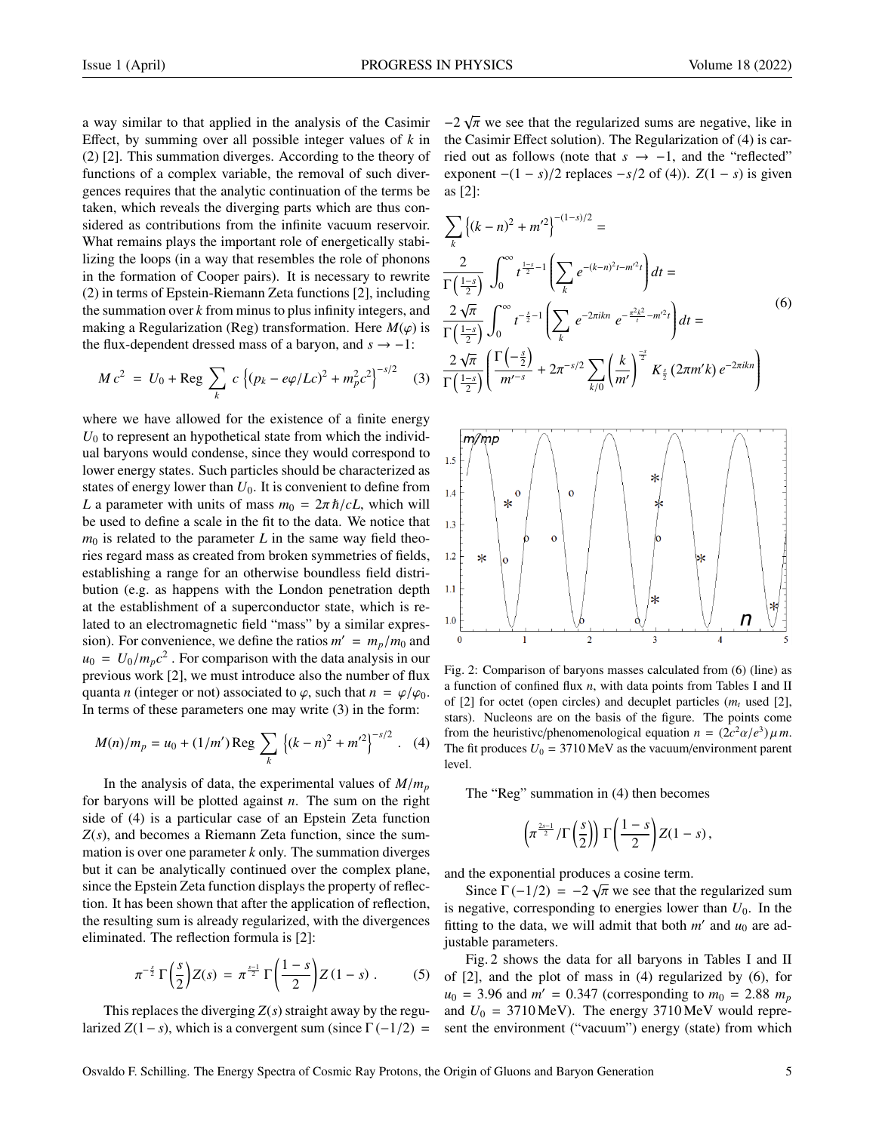a way similar to that applied in the analysis of the Casimir Effect, by summing over all possible integer values of *k* in (2) [2]. This summation diverges. According to the theory of functions of a complex variable, the removal of such divergences requires that the analytic continuation of the terms be taken, which reveals the diverging parts which are thus considered as contributions from the infinite vacuum reservoir. What remains plays the important role of energetically stabilizing the loops (in a way that resembles the role of phonons in the formation of Cooper pairs). It is necessary to rewrite (2) in terms of Epstein-Riemann Zeta functions [2], including the summation over *k* from minus to plus infinity integers, and making a Regularization (Reg) transformation. Here  $M(\varphi)$  is the flux-dependent dressed mass of a baryon, and  $s \rightarrow -1$ :

$$
M c^{2} = U_{0} + \text{Reg} \sum_{k} c \left\{ (p_{k} - e\varphi/Lc)^{2} + m_{p}^{2} c^{2} \right\}^{-s/2}
$$
 (3)

where we have allowed for the existence of a finite energy  $U_0$  to represent an hypothetical state from which the individual baryons would condense, since they would correspond to lower energy states. Such particles should be characterized as states of energy lower than  $U_0$ . It is convenient to define from *L* a parameter with units of mass  $m_0 = 2\pi \hbar/cL$ , which will be used to define a scale in the fit to the data. We notice that  $m_0$  is related to the parameter *L* in the same way field theories regard mass as created from broken symmetries of fields, establishing a range for an otherwise boundless field distribution (e.g. as happens with the London penetration depth at the establishment of a superconductor state, which is related to an electromagnetic field "mass" by a similar expression). For convenience, we define the ratios  $m' = m_p/m_0$  and  $m_e = L_b/m_c c^2$ . For comparison with the data analysis in our  $u_0 = U_0/m_p c^2$ . For comparison with the data analysis in our previous work [2] we must introduce also the number of flux previous work [2], we must introduce also the number of flux quanta *n* (integer or not) associated to  $\varphi$ , such that  $n = \varphi/\varphi_0$ . In terms of these parameters one may write (3) in the form:

$$
M(n)/m_p = u_0 + (1/m') \operatorname{Reg} \sum_{k} \left\{ (k-n)^2 + m'^2 \right\}^{-s/2} . \quad (4)
$$

In the analysis of data, the experimental values of  $M/m_p$ for baryons will be plotted against *n*. The sum on the right side of (4) is a particular case of an Epstein Zeta function *Z*(*s*), and becomes a Riemann Zeta function, since the summation is over one parameter *k* only. The summation diverges but it can be analytically continued over the complex plane, since the Epstein Zeta function displays the property of reflection. It has been shown that after the application of reflection, the resulting sum is already regularized, with the divergences eliminated. The reflection formula is [2]:

$$
\pi^{-\frac{s}{2}}\Gamma\left(\frac{s}{2}\right)Z(s)=\pi^{\frac{s-1}{2}}\Gamma\left(\frac{1-s}{2}\right)Z(1-s)\ .\qquad (5)
$$

This replaces the diverging *Z*(*s*) straight away by the regularized  $Z(1-s)$ , which is a convergent sum (since  $\Gamma(-1/2) =$ 

 $-2\sqrt{\pi}$  we see that the regularized sums are negative, like in the Casimir Effect solution). The Reqularization of (4) is carthe Casimir Effect solution). The Regularization of (4) is carried out as follows (note that *s* → −1, and the "reflected" exponent  $-(1 - s)/2$  replaces  $-s/2$  of (4)).  $Z(1 - s)$  is given as [2]:

$$
\sum_{k} \left\{ (k - n)^2 + m'^2 \right\}^{-(1 - s)/2} =
$$
\n
$$
\frac{2}{\Gamma\left(\frac{1 - s}{2}\right)} \int_{0}^{\infty} t^{\frac{1 - s}{2} - 1} \left( \sum_{k} e^{-(k - n)^2 t - m'^2 t} \right) dt =
$$
\n
$$
\frac{2\sqrt{\pi}}{\Gamma\left(\frac{1 - s}{2}\right)} \int_{0}^{\infty} t^{-\frac{s}{2} - 1} \left( \sum_{k} e^{-2\pi i k n} e^{-\frac{\pi^2 k^2}{t} - m'^2 t} \right) dt =
$$
\n
$$
\frac{2\sqrt{\pi}}{\Gamma\left(\frac{1 - s}{2}\right)} \left( \frac{\Gamma\left(-\frac{s}{2}\right)}{m'^{-s}} + 2\pi^{-s/2} \sum_{k/0} \left(\frac{k}{m'}\right)^{\frac{-s}{2}} K_{\frac{s}{2}} \left(2\pi m' k\right) e^{-2\pi i k n} \right)
$$
\n(6)



Fig. 2: Comparison of baryons masses calculated from (6) (line) as a function of confined flux *n*, with data points from Tables I and II of [2] for octet (open circles) and decuplet particles  $(m_t \text{ used } [2])$ , stars). Nucleons are on the basis of the figure. The points come from the heuristivc/phenomenological equation  $n = (2c^2\alpha/e^3)\mu m$ .<br>The fit produces  $I/\sqrt{2} = 3710 \text{ MeV}$  as the vacuum/environment parent The fit produces  $U_0 = 3710 \,\text{MeV}$  as the vacuum/environment parent level.

The "Reg" summation in (4) then becomes

$$
\left(\pi^{\frac{2s-1}{2}}/\Gamma\left(\frac{s}{2}\right)\right)\Gamma\left(\frac{1-s}{2}\right)Z(1-s)\,,
$$

and the exponential produces a cosine term.

Since  $\Gamma(-1/2) = -2\sqrt{\pi}$  we see that the regularized sum<br>equative corresponding to energies lower than  $U_2$ . In the is negative, corresponding to energies lower than  $U_0$ . In the fitting to the data, we will admit that both  $m'$  and  $u_0$  are adjustable parameters.

Fig. 2 shows the data for all baryons in Tables I and II of [2], and the plot of mass in (4) regularized by (6), for  $u_0 = 3.96$  and  $m' = 0.347$  (corresponding to  $m_0 = 2.88$   $m_p$ <br>and  $U_0 = 3710$  MeV). The energy 3710 MeV would repreand  $U_0 = 3710 \text{ MeV}$ . The energy 3710 MeV would represent the environment ("vacuum") energy (state) from which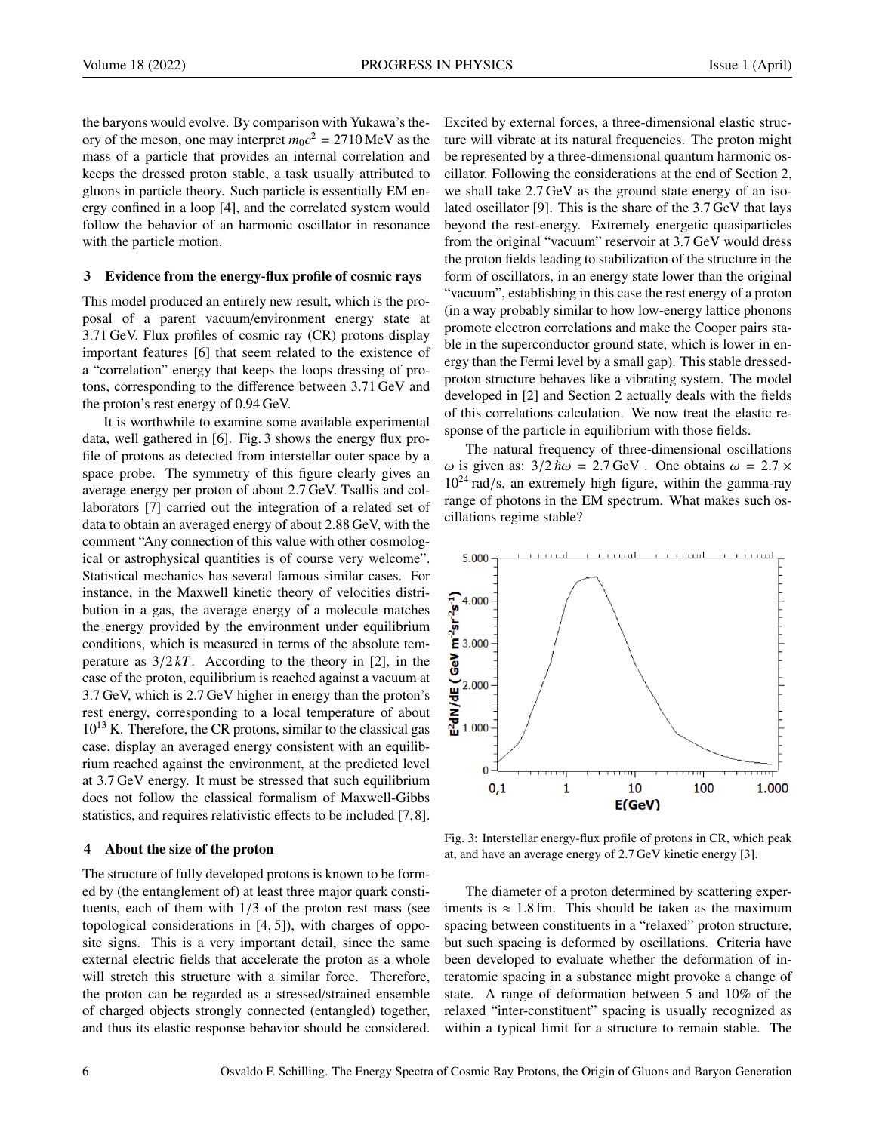the baryons would evolve. By comparison with Yukawa's theory of the meson, one may interpret  $m_0c^2 = 2710 \text{ MeV}$  as the mass of a particle that provides an internal correlation and keeps the dressed proton stable, a task usually attributed to gluons in particle theory. Such particle is essentially EM energy confined in a loop [4], and the correlated system would follow the behavior of an harmonic oscillator in resonance with the particle motion.

### 3 Evidence from the energy-flux profile of cosmic rays

This model produced an entirely new result, which is the proposal of a parent vacuum/environment energy state at 3.71 GeV. Flux profiles of cosmic ray (CR) protons display important features [6] that seem related to the existence of a "correlation" energy that keeps the loops dressing of protons, corresponding to the difference between 3.71 GeV and the proton's rest energy of 0.94 GeV.

It is worthwhile to examine some available experimental data, well gathered in [6]. Fig. 3 shows the energy flux profile of protons as detected from interstellar outer space by a space probe. The symmetry of this figure clearly gives an average energy per proton of about 2.7 GeV. Tsallis and collaborators [7] carried out the integration of a related set of data to obtain an averaged energy of about 2.88 GeV, with the comment "Any connection of this value with other cosmological or astrophysical quantities is of course very welcome". Statistical mechanics has several famous similar cases. For instance, in the Maxwell kinetic theory of velocities distribution in a gas, the average energy of a molecule matches the energy provided by the environment under equilibrium conditions, which is measured in terms of the absolute temperature as  $3/2kT$ . According to the theory in [2], in the case of the proton, equilibrium is reached against a vacuum at 3.7 GeV, which is 2.7 GeV higher in energy than the proton's rest energy, corresponding to a local temperature of about  $10^{13}$  K. Therefore, the CR protons, similar to the classical gas case, display an averaged energy consistent with an equilibrium reached against the environment, at the predicted level at 3.7 GeV energy. It must be stressed that such equilibrium does not follow the classical formalism of Maxwell-Gibbs statistics, and requires relativistic effects to be included [7,8].

#### 4 About the size of the proton

The structure of fully developed protons is known to be formed by (the entanglement of) at least three major quark constituents, each of them with 1/3 of the proton rest mass (see topological considerations in [4, 5]), with charges of opposite signs. This is a very important detail, since the same external electric fields that accelerate the proton as a whole will stretch this structure with a similar force. Therefore, the proton can be regarded as a stressed/strained ensemble of charged objects strongly connected (entangled) together, and thus its elastic response behavior should be considered.

Excited by external forces, a three-dimensional elastic structure will vibrate at its natural frequencies. The proton might be represented by a three-dimensional quantum harmonic oscillator. Following the considerations at the end of Section 2, we shall take 2.7 GeV as the ground state energy of an isolated oscillator [9]. This is the share of the 3.7 GeV that lays beyond the rest-energy. Extremely energetic quasiparticles from the original "vacuum" reservoir at 3.7 GeV would dress the proton fields leading to stabilization of the structure in the form of oscillators, in an energy state lower than the original "vacuum", establishing in this case the rest energy of a proton (in a way probably similar to how low-energy lattice phonons promote electron correlations and make the Cooper pairs stable in the superconductor ground state, which is lower in energy than the Fermi level by a small gap). This stable dressedproton structure behaves like a vibrating system. The model developed in [2] and Section 2 actually deals with the fields of this correlations calculation. We now treat the elastic response of the particle in equilibrium with those fields.

The natural frequency of three-dimensional oscillations ω is given as:  $3/2$   $\hbar \omega = 2.7$  GeV. One obtains  $ω = 2.7 ×$  $10^{24}$  rad/s, an extremely high figure, within the gamma-ray range of photons in the EM spectrum. What makes such oscillations regime stable?



Fig. 3: Interstellar energy-flux profile of protons in CR, which peak at, and have an average energy of 2.7 GeV kinetic energy [3].

The diameter of a proton determined by scattering experiments is  $\approx 1.8$  fm. This should be taken as the maximum spacing between constituents in a "relaxed" proton structure, but such spacing is deformed by oscillations. Criteria have been developed to evaluate whether the deformation of interatomic spacing in a substance might provoke a change of state. A range of deformation between 5 and 10% of the relaxed "inter-constituent" spacing is usually recognized as within a typical limit for a structure to remain stable. The